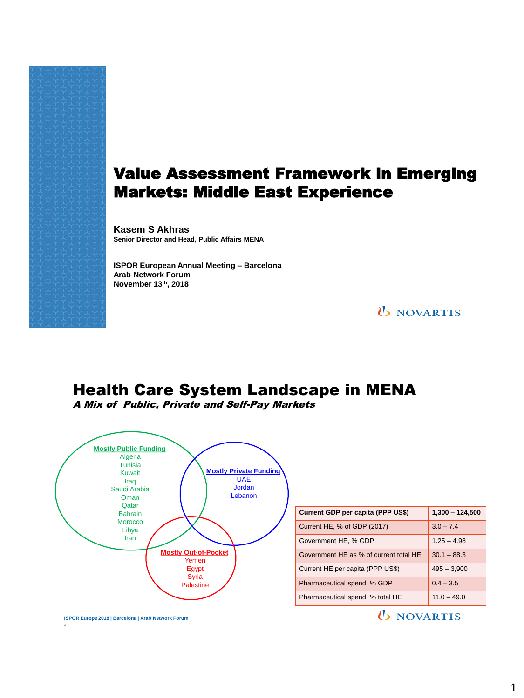## Value Assessment Framework in Emerging Markets: Middle East Experience

**Kasem S Akhras Senior Director and Head, Public Affairs MENA**

**ISPOR European Annual Meeting – Barcelona Arab Network Forum November 13th, 2018**

**U** NOVARTIS

## Health Care System Landscape in MENA

A Mix of Public, Private and Self-Pay Markets



| Current GDP per capita (PPP US\$)      | $1,300 - 124,500$ |
|----------------------------------------|-------------------|
| Current HE, % of GDP (2017)            | $3.0 - 7.4$       |
| Government HE, % GDP                   | $1.25 - 4.98$     |
| Government HE as % of current total HE | $30.1 - 88.3$     |
| Current HE per capita (PPP US\$)       | $495 - 3,900$     |
| Pharmaceutical spend, % GDP            | $0.4 - 3.5$       |
| Pharmaceutical spend, % total HE       | $11.0 - 49.0$     |

*U* NOVARTIS

**ISPOR Europe 2018 | Barcelona | Arab Network Forum**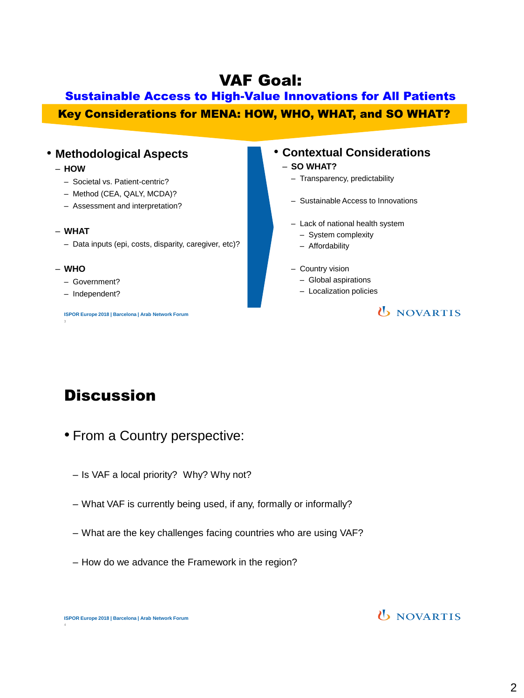## VAF Goal:

## Sustainable Access to High-Value Innovations for All Patients Key Considerations for MENA: HOW, WHO, WHAT, and SO WHAT?

#### • **Methodological Aspects**

- **HOW**
	- Societal vs. Patient-centric?
	- Method (CEA, QALY, MCDA)?
	- Assessment and interpretation?
- **WHAT**
	- Data inputs (epi, costs, disparity, caregiver, etc)?

#### – **WHO**

- Government?
- Independent?

**ISPOR Europe 2018 | Barcelona | Arab Network Forum** 

#### • **Contextual Considerations**

#### – **SO WHAT?**

- Transparency, predictability
- Sustainable Access to Innovations
- Lack of national health system
	- System complexity
	- Affordability
- Country vision
	- Global aspirations
	- Localization policies

#### **U** NOVARTIS

# **Discussion**

- From a Country perspective:
	- Is VAF a local priority? Why? Why not?
	- What VAF is currently being used, if any, formally or informally?
	- What are the key challenges facing countries who are using VAF?
	- How do we advance the Framework in the region?

4

### **U** NOVARTIS